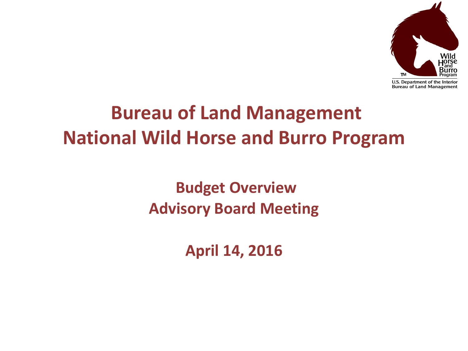

## **Bureau of Land Management National Wild Horse and Burro Program**

**Budget Overview Advisory Board Meeting**

**April 14, 2016**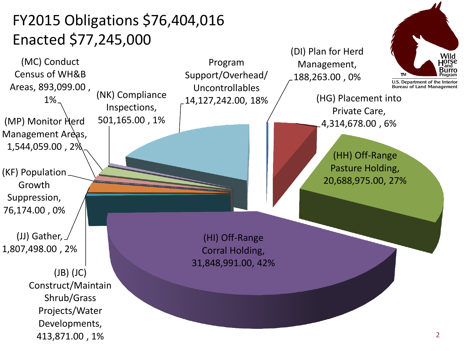## FY2015 Obligations \$76,404,016 Enacted \$77,245,000

(NK) Compliance Inspections, 501,165.00 , 1%

(DI) Plan for Herd Management, 188,263.00 , 0%

> (HG) Placement into Private Care, 4,314,678.00 , 6%

> > (HH) Off-Range Pasture Holding, 20,688,975.00, 27%

(JJ) Gather, Growth Suppression, 76,174.00 , 0%

(KF) Population

(MC) Conduct Census of WH&B

Areas, 893,099.00 , 1%

(MP) Monitor Herd Management Areas, 1,544,059.00 , 2%

1,807,498.00 , 2%

(JB) (JC) Construct/Maintain Shrub/Grass Projects/Water Developments, 413,871.00 , 1%

(HI) Off-Range Corral Holding, 31,848,991.00, 42%

Program Support/Overhead/ Uncontrollables

14,127,242.00, 18%

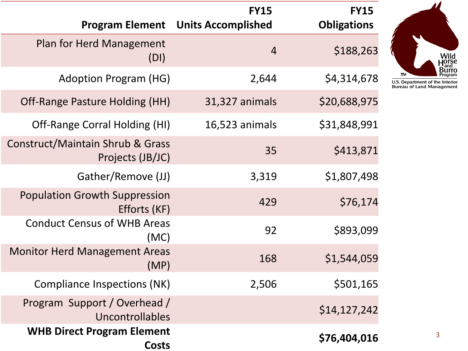|                                                      | <b>FY15</b>        | <b>FY15</b>                               |                                                      |
|------------------------------------------------------|--------------------|-------------------------------------------|------------------------------------------------------|
|                                                      | <b>Obligations</b> | <b>Program Element Units Accomplished</b> |                                                      |
|                                                      | \$188,263          | $\overline{4}$                            | <b>Plan for Herd Management</b><br>(DI)              |
| <b>TM</b><br>U.S. Departmen<br><b>Bureau of Land</b> | \$4,314,678        | 2,644                                     | <b>Adoption Program (HG)</b>                         |
|                                                      | \$20,688,975       | 31,327 animals                            | Off-Range Pasture Holding (HH)                       |
|                                                      | \$31,848,991       | 16,523 animals                            | Off-Range Corral Holding (HI)                        |
|                                                      | \$413,871          | 35                                        | Construct/Maintain Shrub & Grass<br>Projects (JB/JC) |
|                                                      | \$1,807,498        | 3,319                                     | Gather/Remove (JJ)                                   |
|                                                      | \$76,174           | 429                                       | <b>Population Growth Suppression</b><br>Efforts (KF) |
|                                                      | \$893,099          | 92                                        | <b>Conduct Census of WHB Areas</b><br>(MC)           |
|                                                      | \$1,544,059        | 168                                       | <b>Monitor Herd Management Areas</b><br>(MP)         |
|                                                      | \$501,165          | 2,506                                     | Compliance Inspections (NK)                          |
|                                                      | \$14,127,242       |                                           | Program Support / Overhead /<br>Uncontrollables      |
|                                                      | \$76,404,016       |                                           | <b>WHB Direct Program Element</b><br>Costs           |



nt of the Interior<br>d Management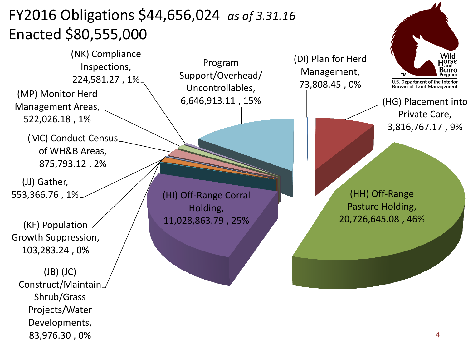## FY2016 Obligations \$44,656,024 *as of 3.31.16* Enacted \$80,555,000

(NK) Compliance Inspections, 224,581.27 , 1%

(MP) Monitor Herd Management Areas,

522,026.18 , 1%

(MC) Conduct Census of WH&B Areas, 875,793.12 , 2%

(JJ) Gather, 553,366.76 , 1%

(KF) Population Growth Suppression, 103,283.24 , 0%

(JB) (JC) Construct/Maintain Shrub/Grass Projects/Water Developments, 83,976.30 , 0%

Program Support/Overhead/ Uncontrollables, 6,646,913.11 , 15%

(HI) Off-Range Corral Holding, 11,028,863.79 , 25%

(DI) Plan for Herd Management, 73,808.45 , 0%



(HG) Placement into Private Care, 3,816,767.17 , 9%

(HH) Off-Range Pasture Holding, 20,726,645.08 , 46%